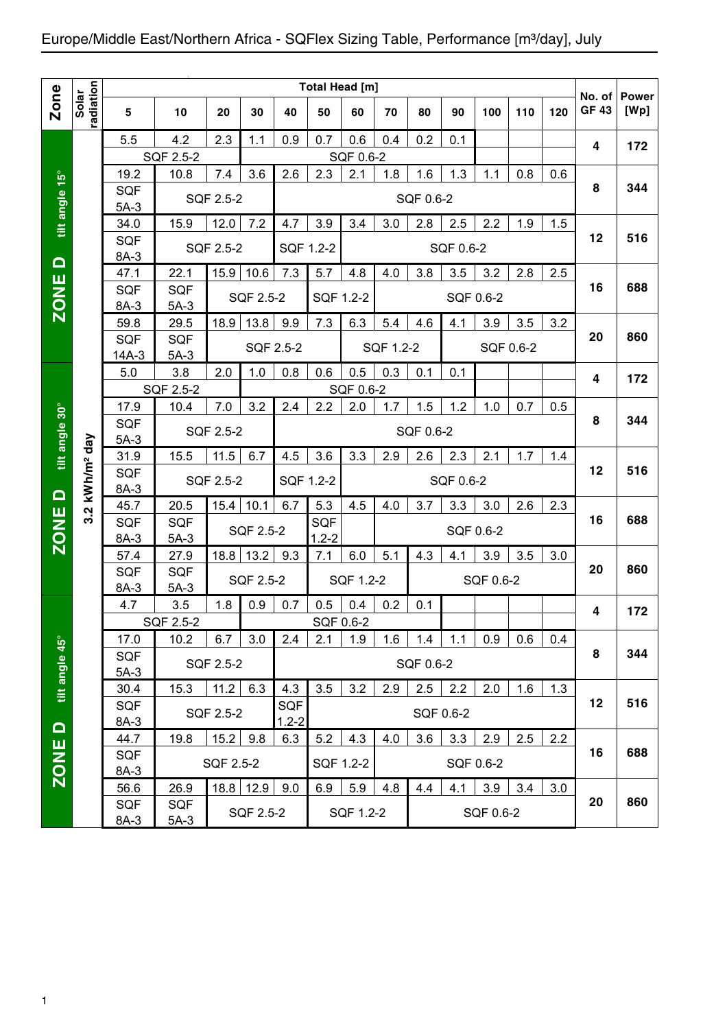## Europe/Middle East/Northern Africa - SQFlex Sizing Table, Performance [m<sup>3</sup>/day], July

|                  |                        |                                                                                                         |                  |           |           |           | Total Head [m] |           |           |           |           |           |     |     |                        |                      |
|------------------|------------------------|---------------------------------------------------------------------------------------------------------|------------------|-----------|-----------|-----------|----------------|-----------|-----------|-----------|-----------|-----------|-----|-----|------------------------|----------------------|
| <b>Zone</b>      | radiation<br>Solar     | 5                                                                                                       | 10               | 20        | 30        | 40        | 50             | 60        | 70        | 80        | 90        | 100       | 110 | 120 | No. of<br><b>GF 43</b> | <b>Power</b><br>[Wp] |
|                  |                        | 5.5                                                                                                     | 4.2              | 2.3       | 1.1       | 0.9       | 0.7            | 0.6       | 0.4       | 0.2       | 0.1       |           |     |     | 4                      | 172                  |
|                  |                        |                                                                                                         | SQF 2.5-2        |           |           |           |                | SQF 0.6-2 |           |           |           |           |     |     |                        |                      |
|                  |                        | 19.2                                                                                                    | 10.8             | 7.4       | 3.6       | 2.6       | 2.3            | 2.1       | 1.8       | 1.6       | 1.3       | 1.1       | 0.8 | 0.6 |                        |                      |
| tilt angle 15°   |                        | <b>SQF</b><br>$5A-3$                                                                                    |                  | SQF 2.5-2 |           |           |                |           |           | SQF 0.6-2 |           |           |     |     | 8                      | 344                  |
|                  |                        | 34.0                                                                                                    | 15.9             | 12.0      | 7.2       | 4.7       | 3.9            | 3.4       | 3.0       | 2.8       | 2.5       | 2.2       | 1.9 | 1.5 |                        |                      |
|                  |                        | <b>SQF</b><br>8A-3                                                                                      |                  | SQF 2.5-2 |           |           | SQF 1.2-2      |           |           |           | SQF 0.6-2 |           |     |     | 12                     | 516                  |
| $\Box$           |                        | 47.1                                                                                                    | 22.1             | 15.9      | 10.6      | 7.3       | 5.7            | 4.8       | 4.0       | 3.8       | 3.5       | 3.2       | 2.8 | 2.5 |                        |                      |
| <b>ZONE</b>      |                        | <b>SQF</b>                                                                                              | <b>SQF</b>       |           |           |           |                |           |           |           |           |           |     |     | 16                     | 688                  |
|                  |                        | 8A-3                                                                                                    | $5A-3$           |           | SQF 2.5-2 |           | SQF 1.2-2      |           |           |           |           | SQF 0.6-2 |     |     |                        |                      |
|                  |                        | 59.8                                                                                                    | 29.5             | 18.9      | 13.8      | 9.9       | 7.3            | 6.3       | 5.4       | 4.6       | 4.1       | 3.9       | 3.5 | 3.2 |                        |                      |
|                  |                        | <b>SQF</b>                                                                                              | <b>SQF</b>       |           |           |           |                |           |           |           |           |           |     |     | 20                     | 860                  |
|                  |                        | $14A-3$                                                                                                 | $5A-3$           |           |           | SQF 2.5-2 |                |           | SQF 1.2-2 |           |           | SQF 0.6-2 |     |     |                        |                      |
|                  |                        | 5.0                                                                                                     | 3.8              | 2.0       | 1.0       | 0.8       | 0.6            | 0.5       | 0.3       | 0.1       | 0.1       |           |     |     | 4                      |                      |
|                  |                        |                                                                                                         | SQF 2.5-2        |           |           |           |                | SQF 0.6-2 |           |           |           |           |     |     |                        | 172                  |
|                  |                        | 2.2<br>17.9<br>7.0<br>3.2<br>2.0<br>1.5<br>1.2<br>10.4<br>2.4<br>1.7<br>1.0<br>0.7<br>0.5<br><b>SQF</b> |                  |           |           |           |                |           |           |           |           |           |     |     |                        |                      |
| tilt angle 30°   |                        | SQF 2.5-2<br>SQF 0.6-2                                                                                  |                  |           |           |           |                |           |           |           |           |           | 8   | 344 |                        |                      |
|                  |                        | $5A-3$                                                                                                  |                  |           |           |           |                |           |           |           |           |           |     |     |                        |                      |
|                  |                        | 31.9                                                                                                    | 15.5             | 11.5      | 6.7       | 4.5       | 3.6            | 3.3       | 2.9       | 2.6       | 2.3       | 2.1       | 1.7 | 1.4 |                        |                      |
|                  | kWh/m <sup>2</sup> day | <b>SQF</b><br>$8A-3$                                                                                    |                  | SQF 2.5-2 |           | SQF 1.2-2 |                |           |           |           | SQF 0.6-2 |           |     |     | 12                     | 516                  |
| $\Omega$         | $\mathbf{N}$           | 45.7                                                                                                    | 20.5             | 15.4      | 10.1      | 6.7       | 5.3            | 4.5       | 4.0       | 3.7       | 3.3       | 3.0       | 2.6 | 2.3 |                        |                      |
|                  |                        | SQF                                                                                                     | <b>SQF</b>       |           |           |           | <b>SQF</b>     |           |           |           |           |           |     |     | 16                     | 688                  |
| ZONE <sup></sup> |                        | 8A-3                                                                                                    | $5A-3$           |           | SQF 2.5-2 |           | $1.2 - 2$      |           |           |           |           | SQF 0.6-2 |     |     |                        |                      |
|                  |                        | 57.4                                                                                                    | 27.9             | 18.8      | 13.2      | 9.3       | 7.1            | 6.0       | 5.1       | 4.3       | 4.1       | 3.9       | 3.5 | 3.0 |                        |                      |
|                  |                        | <b>SQF</b>                                                                                              | <b>SQF</b>       |           |           |           |                |           |           |           |           |           |     |     | 20                     | 860                  |
|                  |                        | 8A-3                                                                                                    | $5A-3$           |           | SQF 2.5-2 |           |                | SQF 1.2-2 |           |           |           | SQF 0.6-2 |     |     |                        |                      |
|                  |                        | 4.7                                                                                                     | 3.5              | 1.8       | 0.9       | 0.7       | 0.5            | 0.4       | 0.2       | 0.1       |           |           |     |     | 4                      | 172                  |
|                  |                        |                                                                                                         | <b>SQF 2.5-2</b> |           |           |           | SQF 0.6-2      |           |           |           |           |           |     |     |                        |                      |
|                  |                        | 17.0                                                                                                    | 10.2             | 6.7       | 3.0       | 2.4       | 2.1            | 1.9       | 1.6       | 1.4       | 1.1       | 0.9       | 0.6 | 0.4 |                        |                      |
| tilt angle 45°   |                        | SQF                                                                                                     |                  | SQF 2.5-2 |           |           |                |           |           | SQF 0.6-2 |           |           |     |     | 8                      | 344                  |
|                  |                        | $5A-3$                                                                                                  |                  |           |           |           |                |           |           |           |           |           |     |     |                        |                      |
|                  |                        | 30.4                                                                                                    | 15.3             | 11.2      | 6.3       | 4.3       | 3.5            | 3.2       | 2.9       | 2.5       | 2.2       | 2.0       | 1.6 | 1.3 |                        |                      |
|                  |                        | SQF                                                                                                     |                  | SQF 2.5-2 |           | SQF       |                |           |           |           | SQF 0.6-2 |           |     |     | 12                     | 516                  |
| $\Omega$         |                        | 8A-3                                                                                                    |                  |           |           | $1.2 - 2$ |                |           |           |           |           |           |     |     |                        |                      |
|                  |                        | 44.7                                                                                                    | 19.8             | 15.2      | 9.8       | 6.3       | 5.2            | 4.3       | 4.0       | 3.6       | 3.3       | 2.9       | 2.5 | 2.2 |                        |                      |
| ZONE             |                        | SQF                                                                                                     |                  | SQF 2.5-2 |           |           | SQF 1.2-2      |           |           |           |           | SQF 0.6-2 |     |     | 16                     | 688                  |
|                  |                        | 8A-3                                                                                                    |                  |           |           |           |                |           |           |           |           |           |     |     |                        |                      |
|                  |                        | 56.6                                                                                                    | 26.9             |           | 18.8 12.9 | 9.0       | 6.9            | 5.9       | 4.8       | 4.4       | 4.1       | 3.9       | 3.4 | 3.0 |                        |                      |
|                  |                        | SQF                                                                                                     | SQF              |           | SQF 2.5-2 |           |                | SQF 1.2-2 |           |           |           | SQF 0.6-2 |     |     | 20                     | 860                  |
|                  |                        | $8A-3$                                                                                                  | $5A-3$           |           |           |           |                |           |           |           |           |           |     |     |                        |                      |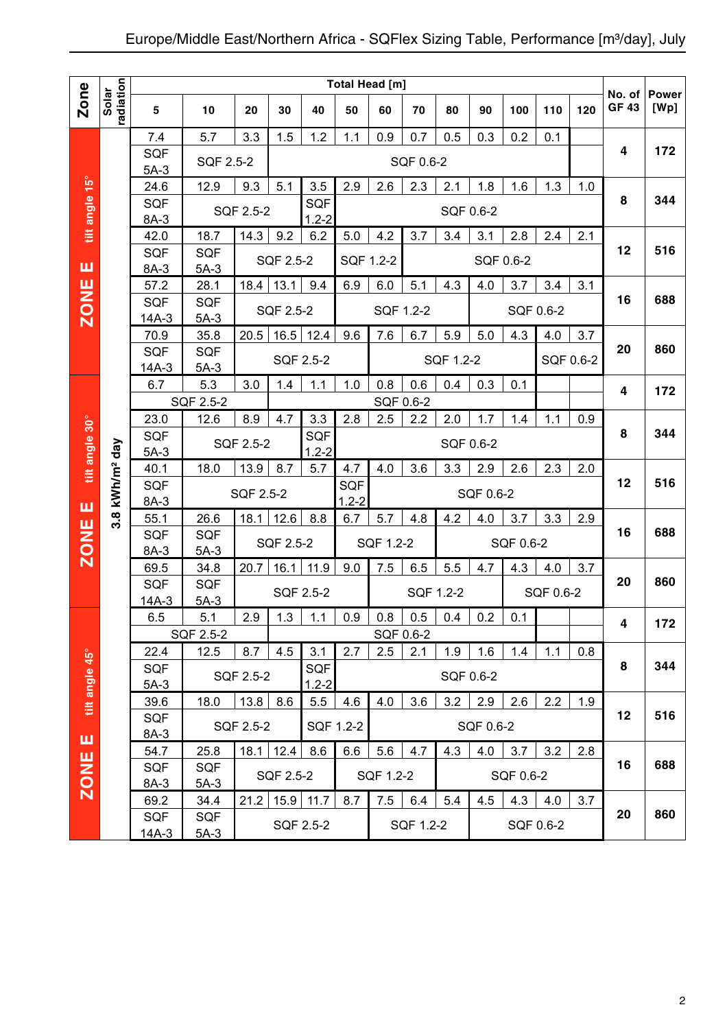|                |                        |                       |                      |           |           |                      | Total Head [m] |           |                   |           |           |           |           |           | No. of       | <b>Power</b> |
|----------------|------------------------|-----------------------|----------------------|-----------|-----------|----------------------|----------------|-----------|-------------------|-----------|-----------|-----------|-----------|-----------|--------------|--------------|
| Zone           | radiation<br>Solar     | 5                     | 10                   | 20        | 30        | 40                   | 50             | 60        | 70                | 80        | 90        | 100       | 110       | 120       | <b>GF 43</b> | [Wp]         |
|                |                        | 7.4                   | 5.7                  | 3.3       | 1.5       | 1.2                  | 1.1            | 0.9       | 0.7               | 0.5       | 0.3       | 0.2       | 0.1       |           |              |              |
|                |                        | <b>SQF</b>            | SQF 2.5-2            |           |           |                      |                |           | SQF 0.6-2         |           |           |           |           |           | 4            | 172          |
|                |                        | $5A-3$                |                      |           |           |                      |                |           |                   |           |           |           |           |           |              |              |
| tilt angle 15° |                        | 24.6<br><b>SQF</b>    | 12.9                 | 9.3       | 5.1       | 3.5<br>SQF           | 2.9            | 2.6       | 2.3               | 2.1       | 1.8       | 1.6       | 1.3       | 1.0       | 8            | 344          |
|                |                        | 8A-3                  |                      | SQF 2.5-2 |           | $1.2 - 2$            |                |           |                   |           | SQF 0.6-2 |           |           |           |              |              |
|                |                        | 42.0                  | 18.7                 | 14.3      | 9.2       | 6.2                  | 5.0            | 4.2       | 3.7               | 3.4       | 3.1       | 2.8       | 2.4       | 2.1       |              |              |
|                |                        | <b>SQF</b>            | <b>SQF</b>           |           |           |                      |                |           |                   |           |           |           |           |           | 12           | 516          |
| ш              |                        | 8A-3                  | $5A-3$               |           | SQF 2.5-2 |                      | SQF 1.2-2      |           |                   |           |           | SQF 0.6-2 |           |           |              |              |
| <b>ZONE</b>    |                        | 57.2                  | 28.1                 | 18.4      | 13.1      | 9.4                  | 6.9            | 6.0       | 5.1               | 4.3       | 4.0       | 3.7       | 3.4       | 3.1       |              |              |
|                |                        | <b>SQF</b>            | <b>SQF</b>           |           | SQF 2.5-2 |                      |                | SQF 1.2-2 |                   |           |           |           | SQF 0.6-2 |           | 16           | 688          |
|                |                        | $14A-3$               | $5A-3$               |           |           |                      |                |           |                   |           |           |           |           |           |              |              |
|                |                        | 70.9                  | 35.8                 | 20.5      | 16.5      | 12.4                 | 9.6            | 7.6       | 6.7               | 5.9       | 5.0       | 4.3       | 4.0       | 3.7       | 20           | 860          |
|                |                        | <b>SQF</b><br>$14A-3$ | <b>SQF</b><br>$5A-3$ |           |           | SQF 2.5-2            |                |           |                   | SQF 1.2-2 |           |           |           | SQF 0.6-2 |              |              |
|                |                        | 6.7                   | 5.3                  | 3.0       | 1.4       | 1.1                  | 1.0            | 0.8       | 0.6               | 0.4       | 0.3       | 0.1       |           |           |              |              |
|                |                        |                       | SQF 2.5-2            |           |           |                      |                | SQF 0.6-2 |                   |           |           |           |           |           | 4            | 172          |
|                |                        | 23.0                  | 12.6                 | 8.9       | 4.7       | 3.3                  | 2.8            | 2.5       | 2.2               | 2.0       | 1.7       | 1.4       | 1.1       | 0.9       |              |              |
|                |                        | <b>SQF</b>            |                      |           |           | SQF                  |                |           |                   |           |           |           |           |           | 8            | 344          |
|                |                        | $5A-3$                |                      | SQF 2.5-2 |           | $1.2 - 2$            |                |           |                   |           | SQF 0.6-2 |           |           |           |              |              |
| tilt angle 30° |                        | 40.1                  | 18.0                 | 13.9      | 8.7       | 5.7                  | 4.7            | 4.0       | 3.6               | 3.3       | 2.9       | 2.6       | 2.3       | 2.0       |              |              |
|                | kWh/m <sup>2</sup> day | <b>SQF</b>            |                      | SQF 2.5-2 |           |                      | SQF            |           |                   |           | SQF 0.6-2 |           |           |           | 12           | 516          |
| ш              |                        | $8A-3$                |                      |           |           |                      | $1.2 - 2$      |           |                   |           |           |           |           |           |              |              |
|                | $3.\overline{8}$       | 55.1<br><b>SQF</b>    | 26.6<br><b>SQF</b>   | 18.1      | 12.6      | 8.8                  | 6.7            | 5.7       | 4.8               | 4.2       | 4.0       | 3.7       | 3.3       | 2.9       | 16           | 688          |
| <b>ZONE</b>    |                        | 8A-3                  | $5A-3$               |           | SQF 2.5-2 |                      |                | SQF 1.2-2 |                   |           |           | SQF 0.6-2 |           |           |              |              |
|                |                        | 69.5                  | 34.8                 | 20.7      | 16.1      | 11.9                 | 9.0            | 7.5       | 6.5               | 5.5       | 4.7       | 4.3       | 4.0       | 3.7       |              |              |
|                |                        | <b>SQF</b>            | <b>SQF</b>           |           |           |                      |                |           |                   |           |           |           |           |           | 20           | 860          |
|                |                        | $14A-3$               | $5A-3$               |           |           | SQF 2.5-2            |                |           | SQF 1.2-2         |           |           |           | SQF 0.6-2 |           |              |              |
|                |                        | 6.5                   | 5.1                  | 2.9       |           | $\overline{1.3}$ 1.1 | $0.9\,$        |           | $0.8$ 0.5 0.4 0.2 |           |           | 0.1       |           |           | 4            | 172          |
|                |                        |                       | SQF 2.5-2            |           |           |                      |                |           | SQF 0.6-2         |           |           |           |           |           |              |              |
|                |                        | 22.4                  | 12.5                 | 8.7       | 4.5       | 3.1                  | 2.7            | 2.5       | 2.1               | 1.9       | 1.6       | 1.4       | 1.1       | 0.8       |              |              |
| tilt angle 45° |                        | SQF                   |                      | SQF 2.5-2 |           | <b>SQF</b>           |                |           |                   |           | SQF 0.6-2 |           |           |           | 8            | 344          |
|                |                        | $5A-3$                |                      |           |           | $1.2 - 2$            |                |           |                   |           |           |           |           |           |              |              |
|                |                        | 39.6<br>SQF           | 18.0                 | 13.8      | 8.6       | 5.5                  | 4.6            | 4.0       | 3.6               | 3.2       | 2.9       | 2.6       | 2.2       | 1.9       | 12           | 516          |
|                |                        | 8A-3                  |                      | SQF 2.5-2 |           |                      | SQF 1.2-2      |           |                   |           | SQF 0.6-2 |           |           |           |              |              |
| ш              |                        | 54.7                  | 25.8                 | 18.1      | 12.4      | 8.6                  | 6.6            | 5.6       | 4.7               | 4.3       | 4.0       | 3.7       | 3.2       | 2.8       |              |              |
| <b>ZONE</b>    |                        | SQF                   | SQF                  |           |           |                      |                |           |                   |           |           |           |           |           | 16           | 688          |
|                |                        | 8A-3                  | $5A-3$               |           | SQF 2.5-2 |                      |                | SQF 1.2-2 |                   |           |           | SQF 0.6-2 |           |           |              |              |
|                |                        | 69.2                  | 34.4                 | 21.2      | 15.9      | 11.7                 | 8.7            | 7.5       | 6.4               | 5.4       | 4.5       | 4.3       | 4.0       | 3.7       |              |              |
|                |                        | SQF                   | SQF                  |           |           | SQF 2.5-2            |                |           | SQF 1.2-2         |           |           |           | SQF 0.6-2 |           | 20           | 860          |
|                |                        | 14A-3                 | $5A-3$               |           |           |                      |                |           |                   |           |           |           |           |           |              |              |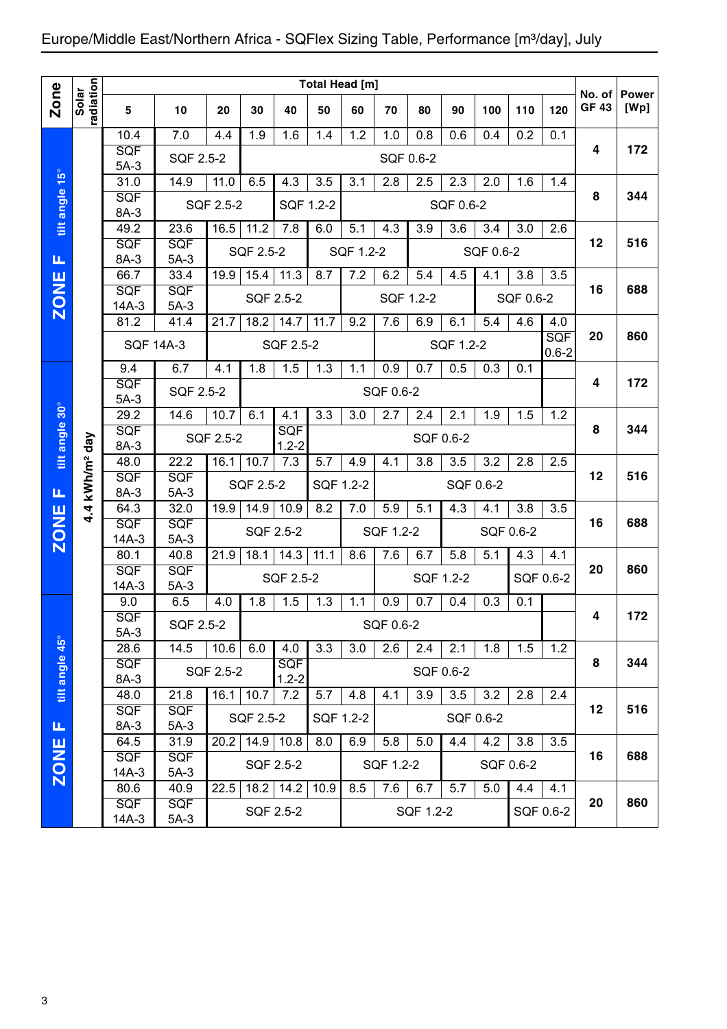## Europe/Middle East/Northern Africa - SQFlex Sizing Table, Performance [m<sup>3</sup>/day], July

|                |                    |                       |                                                                                     |           |                   |                         |           | Total Head [m] |           |                  |           |           |           |            |                       |                      |
|----------------|--------------------|-----------------------|-------------------------------------------------------------------------------------|-----------|-------------------|-------------------------|-----------|----------------|-----------|------------------|-----------|-----------|-----------|------------|-----------------------|----------------------|
| <b>Zone</b>    | radiation<br>Solar | 5                     | 10                                                                                  | 20        | 30                | 40                      | 50        | 60             | 70        | 80               | 90        | 100       | 110       | 120        | No. of<br><b>GF43</b> | <b>Power</b><br>[Wp] |
|                |                    | 10.4                  | 7.0                                                                                 | 4.4       | 1.9               | 1.6                     | 1.4       | 1.2            | 1.0       | 0.8              | 0.6       | 0.4       | 0.2       | 0.1        |                       |                      |
|                |                    | SQF<br>$5A-3$         | SQF 2.5-2                                                                           |           |                   |                         |           |                | SQF 0.6-2 |                  |           |           |           |            | 4                     | 172                  |
|                |                    | 31.0                  | 14.9                                                                                | 11.0      | 6.5               | 4.3                     | 3.5       | 3.1            | 2.8       | 2.5              | 2.3       | 2.0       | 1.6       | 1.4        |                       |                      |
| tilt angle 15° |                    | SQF<br>8A-3           |                                                                                     | SQF 2.5-2 |                   | SQF 1.2-2               |           |                |           |                  | SQF 0.6-2 |           |           |            | 8                     | 344                  |
|                |                    | 49.2                  | 23.6                                                                                | 16.5      | $\overline{1}1.2$ | $\overline{7.8}$        | 6.0       | 5.1            | 4.3       | 3.9              | 3.6       | 3.4       | 3.0       | 2.6        |                       |                      |
|                |                    | SQF<br>8A-3           | SQF<br>$5A-3$                                                                       |           | SQF 2.5-2         |                         |           | SQF 1.2-2      |           |                  |           | SQF 0.6-2 |           |            | 12                    | 516                  |
| Щ              |                    | 66.7                  | 33.4                                                                                | 19.9      | 15.4              | 11.3                    | 8.7       | 7.2            | 6.2       | 5.4              | 4.5       | 4.1       | 3.8       | 3.5        |                       |                      |
| <b>ZONE</b>    |                    | SQF                   | SQF                                                                                 |           |                   | SQF 2.5-2               |           |                | SQF 1.2-2 |                  |           |           | SQF 0.6-2 |            | 16                    | 688                  |
|                |                    | $14A-3$<br>81.2       | $5A-3$<br>41.4                                                                      | 21.7      | 18.2              | 14.7                    | 11.7      | 9.2            | 7.6       | 6.9              | 6.1       | 5.4       | 4.6       | 4.0        |                       |                      |
|                |                    |                       |                                                                                     |           |                   |                         |           |                |           |                  |           |           |           | <b>SQF</b> | 20                    | 860                  |
|                |                    | <b>SQF 14A-3</b>      |                                                                                     |           |                   | SQF 2.5-2               |           |                |           |                  | SQF 1.2-2 |           |           | $0.6 - 2$  |                       |                      |
|                |                    | 9.4                   | 6.7                                                                                 | 4.1       | 1.8               | $1.\overline{5}$        | 1.3       | 1.1            | 0.9       | 0.7              | 0.5       | 0.3       | 0.1       |            |                       |                      |
|                |                    | SQF                   | SQF 2.5-2                                                                           |           |                   |                         |           |                | SQF 0.6-2 |                  |           |           |           |            | 4                     | 172                  |
|                |                    | $5A-3$<br>29.2        | $14.\overline{6}$                                                                   | 10.7      | 6.1               | 4.1                     | 3.3       | 3.0            | 2.7       | 2.4              | 2.1       | 1.9       | 1.5       | 1.2        |                       |                      |
| tilt angle 30° |                    |                       | <b>SQF</b><br>SQF<br>SQF 2.5-2<br>SQF 0.6-2                                         |           |                   |                         |           |                |           |                  | 8         | 344       |           |            |                       |                      |
|                | day                | 8A-3<br>$1.2 - 2$     |                                                                                     |           |                   |                         |           |                |           |                  |           |           |           |            |                       |                      |
|                |                    | 48.0                  | 22.2<br>16.1<br>7.3<br>5.7<br>4.9<br>3.8<br>3.5<br>2.5<br>10.7<br>4.1<br>3.2<br>2.8 |           |                   |                         |           |                |           |                  |           |           |           |            |                       |                      |
|                | kWh/m <sup>2</sup> | SQF                   | SQF                                                                                 |           | SQF 2.5-2         |                         | SQF 1.2-2 |                |           |                  | SQF 0.6-2 |           |           |            | 12                    | 516                  |
| Щ              |                    | 8A-3<br>64.3          | $5A-3$<br>32.0                                                                      | 19.9      | 14.9              | 10.9                    | 8.2       | 7.0            | 5.9       | 5.1              | 4.3       | 4.1       | 3.8       | 3.5        |                       |                      |
|                | 4.4                | SQF                   | SQF                                                                                 |           |                   |                         |           |                |           |                  |           |           |           |            | 16                    | 688                  |
| <b>ZONE</b>    |                    | $14A-3$               | $5A-3$                                                                              |           |                   | SQF 2.5-2               |           |                | SQF 1.2-2 |                  |           |           | SQF 0.6-2 |            |                       |                      |
|                |                    | 80.1                  | 40.8                                                                                | 21.9      | 18.1              | 14.3                    | 11.1      | 8.6            | 7.6       | 6.7              | 5.8       | 5.1       | 4.3       | 4.1        |                       |                      |
|                |                    | SQF                   | SQF                                                                                 |           |                   | SQF 2.5-2               |           |                |           |                  | SQF 1.2-2 |           |           | SQF 0.6-2  | 20                    | 860                  |
|                |                    | $14A-3$<br>9.0        | $5A-3$<br>6.5                                                                       | 4.0       | 1.8               | 1.5                     | 1.3       | 1.1            | 0.9       | 0.7              | 0.4       | 0.3       | 0.1       |            |                       |                      |
|                |                    | SQF                   |                                                                                     |           |                   |                         |           |                |           |                  |           |           |           |            | 4                     | 172                  |
|                |                    | $5A-3$                | SQF 2.5-2                                                                           |           |                   |                         |           |                | SQF 0.6-2 |                  |           |           |           |            |                       |                      |
|                |                    | 28.6                  | 14.5                                                                                | 10.6      | 6.0               | 4.0                     | 3.3       | 3.0            | 2.6       | 2.4              | 2.1       | 1.8       | 1.5       | 1.2        |                       |                      |
| tiit angle 45° |                    | <b>SQF</b><br>8A-3    |                                                                                     | SQF 2.5-2 |                   | <b>SQF</b><br>$1.2 - 2$ |           |                |           |                  | SQF 0.6-2 |           |           |            | 8                     | 344                  |
|                |                    | 48.0                  | 21.8                                                                                | 16.1      | 10.7              | 7.2                     | 5.7       | 4.8            | 4.1       | $\overline{3.9}$ | 3.5       | 3.2       | 2.8       | 2.4        |                       |                      |
|                |                    | <b>SQF</b>            | <b>SQF</b>                                                                          |           |                   |                         |           |                |           |                  |           |           |           |            | 12                    | 516                  |
| Щ              |                    | 8A-3                  | $5A-3$                                                                              |           | SQF 2.5-2         |                         |           | SQF 1.2-2      |           |                  |           | SQF 0.6-2 |           |            |                       |                      |
|                |                    | 64.5                  | 31.9                                                                                | 20.2      |                   | $14.9$ 10.8             | 8.0       | 6.9            | 5.8       | 5.0              | 4.4       | 4.2       | 3.8       | 3.5        |                       |                      |
| <b>ZONE</b>    |                    | <b>SQF</b><br>$14A-3$ | <b>SQF</b><br>$5A-3$                                                                |           |                   | SQF 2.5-2               |           |                | SQF 1.2-2 |                  |           |           | SQF 0.6-2 |            | 16                    | 688                  |
|                |                    | 80.6                  | 40.9                                                                                | 22.5      | 18.2              | 14.2                    | 10.9      | 8.5            | 7.6       | 6.7              | 5.7       | 5.0       | 4.4       | 4.1        |                       |                      |
|                |                    | <b>SQF</b>            | <b>SQF</b>                                                                          |           |                   |                         |           |                |           |                  |           |           |           |            | 20                    | 860                  |
|                |                    | $14A-3$               | $5A-3$                                                                              |           |                   | SQF 2.5-2               |           |                |           | SQF 1.2-2        |           |           |           | SQF 0.6-2  |                       |                      |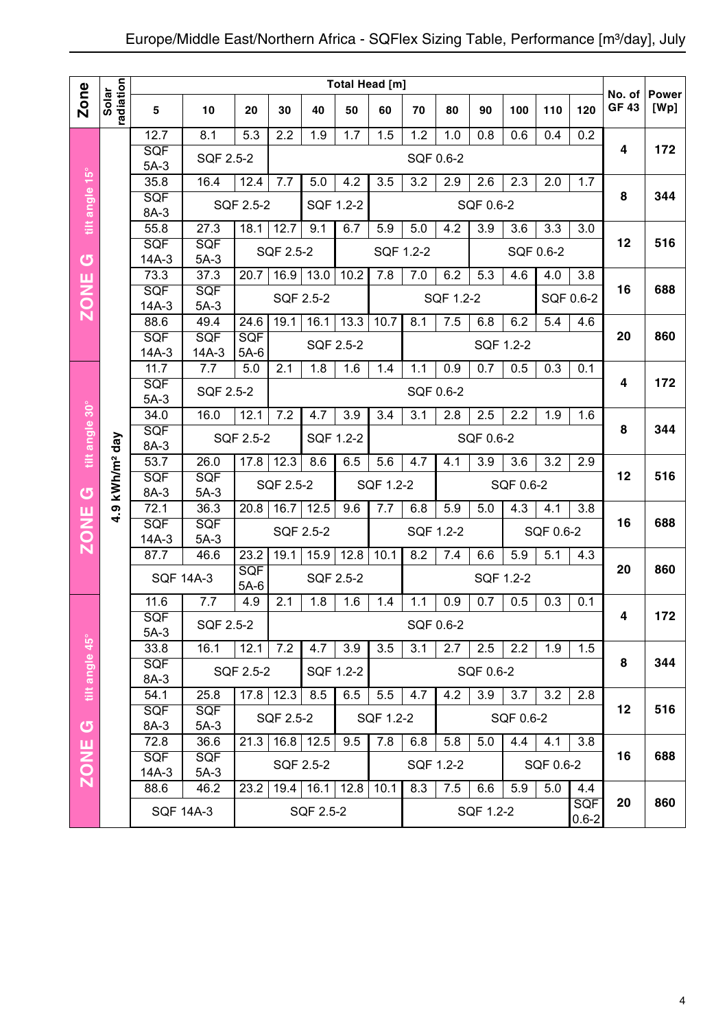|                |                           |                      |                       |               |           |             | Total Head [m] |           |                  |           |                  |                  |                  |                         | No. of      | <b>Power</b> |
|----------------|---------------------------|----------------------|-----------------------|---------------|-----------|-------------|----------------|-----------|------------------|-----------|------------------|------------------|------------------|-------------------------|-------------|--------------|
| Zone           | radiation<br>Solar        | 5                    | 10                    | 20            | 30        | 40          | 50             | 60        | 70               | 80        | 90               | 100              | 110              | 120                     | <b>GF43</b> | [Wp]         |
|                |                           | 12.7                 | 8.1                   | 5.3           | 2.2       | 1.9         | 1.7            | 1.5       | 1.2              | 1.0       | 0.8              | 0.6              | 0.4              | 0.2                     |             |              |
|                |                           | <b>SQF</b><br>$5A-3$ | SQF 2.5-2             |               |           |             |                |           | SQF 0.6-2        |           |                  |                  |                  |                         | 4           | 172          |
|                |                           | 35.8                 | 16.4                  | 12.4          | 7.7       | 5.0         | 4.2            | 3.5       | 3.2              | 2.9       | 2.6              | 2.3              | 2.0              | 1.7                     |             |              |
| tilt angle 15° |                           | SQF                  |                       | SQF 2.5-2     |           |             | SQF 1.2-2      |           |                  |           | SQF 0.6-2        |                  |                  |                         | 8           | 344          |
|                |                           | 8A-3<br>55.8         | 27.3                  | 18.1          | 12.7      | 9.1         | 6.7            | 5.9       | $\overline{5.0}$ | 4.2       | $\overline{3.9}$ | 3.6              | $\overline{3.3}$ | 3.0                     |             |              |
|                |                           | SQF                  | <b>SQF</b>            |               | SQF 2.5-2 |             |                |           | SQF 1.2-2        |           |                  |                  | SQF 0.6-2        |                         | 12          | 516          |
| $\sigma$       |                           | $14A-3$              | $5A-3$                |               |           |             |                |           |                  |           |                  |                  |                  |                         |             |              |
| <b>ZONE</b>    |                           | 73.3<br><b>SQF</b>   | 37.3<br><b>SQF</b>    | 20.7          | 16.9      | 13.0        | 10.2           | 7.8       | 7.0              | 6.2       | 5.3              | 4.6              | 4.0              | 3.8                     | 16          | 688          |
|                |                           | $14A-3$              | $5A-3$                |               |           | SQF 2.5-2   |                |           |                  | SQF 1.2-2 |                  |                  |                  | SQF 0.6-2               |             |              |
|                |                           | 88.6                 | 49.4                  | 24.6          | 19.1      | 16.1        | 13.3           | 10.7      | 8.1              | 7.5       | 6.8              | 6.2              | 5.4              | 4.6                     |             |              |
|                |                           | SQF<br>$14A-3$       | <b>SQF</b><br>$14A-3$ | SQF<br>$5A-6$ |           | SQF 2.5-2   |                |           |                  |           |                  | SQF 1.2-2        |                  |                         | 20          | 860          |
|                |                           | 11.7                 | 7.7                   | 5.0           | 2.1       | 1.8         | 1.6            | 1.4       | 1.1              | 0.9       | 0.7              | 0.5              | 0.3              | 0.1                     |             |              |
|                |                           | SQF                  | SQF 2.5-2             |               |           |             |                |           | SQF 0.6-2        |           |                  |                  |                  |                         | 4           | 172          |
|                |                           | $5A-3$<br>34.0       | 16.0                  | 12.1          | 7.2       | 4.7         | 3.9            | 3.4       | 3.1              | 2.8       | 2.5              | 2.2              | 1.9              | 1.6                     |             |              |
|                |                           | SQF                  |                       |               |           |             |                |           |                  |           |                  |                  |                  |                         | 8           | 344          |
| tilt angle 30° |                           | 8A-3                 |                       | SQF 2.5-2     |           |             | SQF 1.2-2      |           |                  |           | SQF 0.6-2        |                  |                  |                         |             |              |
|                | .9 kWh/m <sup>2</sup> day | 53.7                 | 26.0                  | 17.8          | 12.3      | 8.6         | 6.5            | 5.6       | 4.7              | 4.1       | $\overline{3.9}$ | $\overline{3.6}$ | $\overline{3.2}$ | $\overline{2.9}$        | 12          | 516          |
| <b>ပ</b>       |                           | SQF<br>8A-3          | <b>SQF</b><br>$5A-3$  |               | SQF 2.5-2 |             |                | SQF 1.2-2 |                  |           |                  | SQF 0.6-2        |                  |                         |             |              |
|                |                           | 72.1                 | 36.3                  | 20.8          | 16.7      | 12.5        | 9.6            | 7.7       | 6.8              | 5.9       | 5.0              | 4.3              | 4.1              | 3.8                     |             |              |
| <b>ZONE</b>    | 4                         | SQF                  | <b>SQF</b>            |               |           | SQF 2.5-2   |                |           | SQF 1.2-2        |           |                  |                  | SQF 0.6-2        |                         | 16          | 688          |
|                |                           | $14A-3$<br>87.7      | $5A-3$<br>46.6        | 23.2          | 19.1      | 15.9        | 12.8           | 10.1      | 8.2              | 7.4       | 6.6              | 5.9              | 5.1              | 4.3                     |             |              |
|                |                           |                      | <b>SQF 14A-3</b>      | <b>SQF</b>    |           | SQF 2.5-2   |                |           |                  |           |                  | SQF 1.2-2        |                  |                         | 20          | 860          |
|                |                           |                      |                       | $5A-6$        |           |             |                |           |                  |           |                  |                  |                  |                         |             |              |
|                |                           | 11.6<br>SQF          | 7.7                   | 4.9           | 2.1       | 1.8         | 1.6            | 1.4       | 1.1              | 0.9       | 0.7              | 0.5              | 0.3              | 0.1                     | 4           | 172          |
|                |                           | $5A-3$               | SQF 2.5-2             |               |           |             |                |           | SQF 0.6-2        |           |                  |                  |                  |                         |             |              |
|                |                           | 33.8                 | 16.1                  | 12.1          | 7.2       | 4.7         | 3.9            | 3.5       | 3.1              | 2.7       | 2.5              | 2.2              | 1.9              | 1.5                     |             |              |
|                |                           | <b>SQF</b><br>8A-3   |                       | SQF 2.5-2     |           |             | SQF 1.2-2      |           |                  |           | SQF 0.6-2        |                  |                  |                         | 8           | 344          |
| tilt angle 45° |                           | 54.1                 | 25.8                  | 17.8          | 12.3      | 8.5         | 6.5            | 5.5       | 4.7              | 4.2       | 3.9              | 3.7              | 3.2              | 2.8                     |             |              |
|                |                           | <b>SQF</b>           | <b>SQF</b>            |               | SQF 2.5-2 |             |                | SQF 1.2-2 |                  |           |                  | SQF 0.6-2        |                  |                         | 12          | 516          |
| <b>්</b>       |                           | 8A-3<br>72.8         | $5A-3$<br>36.6        | 21.3          | 16.8      | 12.5        | 9.5            | 7.8       | 6.8              | 5.8       | 5.0              | 4.4              | 4.1              | $\overline{3.8}$        |             |              |
| ш              |                           | SQF                  | SQF                   |               |           |             |                |           |                  |           |                  |                  |                  |                         | 16          | 688          |
| <b>NOZ</b>     |                           | 14A-3                | $5A-3$                |               |           | SQF 2.5-2   |                |           | SQF 1.2-2        |           |                  |                  | SQF 0.6-2        |                         |             |              |
|                |                           | 88.6                 | 46.2                  | 23.2          |           | $19.4$ 16.1 | 12.8           | 10.1      | 8.3              | 7.5       | 6.6              | 5.9              | 5.0              | 4.4                     | 20          | 860          |
|                |                           |                      | <b>SQF 14A-3</b>      |               |           | SQF 2.5-2   |                |           |                  |           | SQF 1.2-2        |                  |                  | <b>SQF</b><br>$0.6 - 2$ |             |              |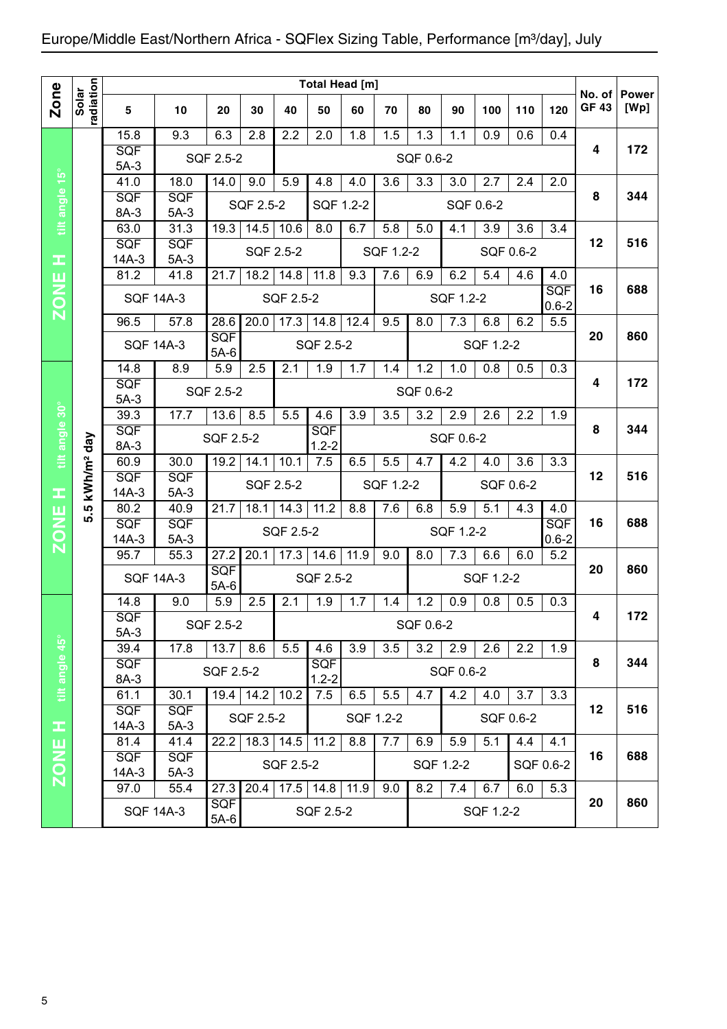|                  |                    |                       |                                                                                            |                      |           |                                 | Total Head [m]       |           |           |           |           |                  |           |                         |                       |                      |
|------------------|--------------------|-----------------------|--------------------------------------------------------------------------------------------|----------------------|-----------|---------------------------------|----------------------|-----------|-----------|-----------|-----------|------------------|-----------|-------------------------|-----------------------|----------------------|
| <b>Zone</b>      | radiation<br>Solar | 5                     | 10                                                                                         | 20                   | 30        | 40                              | 50                   | 60        | 70        | 80        | 90        | 100              | 110       | 120                     | No. of<br><b>GF43</b> | <b>Power</b><br>[Wp] |
|                  |                    | 15.8                  | 9.3                                                                                        | 6.3                  | 2.8       | 2.2                             | 2.0                  | 1.8       | 1.5       | 1.3       | 1.1       | 0.9              | 0.6       | 0.4                     |                       |                      |
|                  |                    | <b>SQF</b><br>$5A-3$  |                                                                                            | SQF 2.5-2            |           |                                 |                      |           |           | SQF 0.6-2 |           |                  |           |                         | 4                     | 172                  |
| tilt angle 15°   |                    | 41.0                  | 18.0                                                                                       | 14.0                 | 9.0       | 5.9                             | 4.8                  | 4.0       | 3.6       | 3.3       | 3.0       | 2.7              | 2.4       | 2.0                     |                       |                      |
|                  |                    | <b>SQF</b>            | <b>SQF</b>                                                                                 |                      | SQF 2.5-2 |                                 | SQF 1.2-2            |           |           |           |           | SQF 0.6-2        |           |                         | 8                     | 344                  |
|                  |                    | 8A-3                  | $5A-3$                                                                                     |                      |           |                                 |                      |           |           |           |           |                  |           |                         |                       |                      |
|                  |                    | 63.0                  | 31.3                                                                                       | 19.3                 | 14.5      | 10.6                            | 8.0                  | 6.7       | 5.8       | 5.0       | 4.1       | $\overline{3.9}$ | 3.6       | $\overline{3.4}$        | 12                    | 516                  |
| œ                |                    | <b>SQF</b><br>$14A-3$ | SQF<br>$5A-3$                                                                              |                      |           | SQF 2.5-2                       |                      |           | SQF 1.2-2 |           |           |                  | SQF 0.6-2 |                         |                       |                      |
|                  |                    | 81.2                  | 41.8                                                                                       | 21.7                 | 18.2      | $\overline{1}$ 4.8              | 11.8                 | 9.3       | 7.6       | 6.9       | 6.2       | 5.4              | 4.6       | 4.0                     |                       |                      |
| <b>ZONE</b>      |                    | <b>SQF 14A-3</b>      |                                                                                            |                      |           | SQF 2.5-2                       |                      |           |           |           | SQF 1.2-2 |                  |           | <b>SQF</b><br>$0.6 - 2$ | 16                    | 688                  |
|                  |                    | 96.5                  | 57.8                                                                                       | 28.6                 | 20.0      | 17.3                            | 14.8                 | 12.4      | 9.5       | 8.0       | 7.3       | 6.8              | 6.2       | 5.5                     |                       |                      |
|                  |                    | <b>SQF 14A-3</b>      |                                                                                            | SQF<br>$5A-6$        |           |                                 | SQF 2.5-2            |           |           |           |           | SQF 1.2-2        |           |                         | 20                    | 860                  |
|                  |                    | 14.8                  | 8.9                                                                                        | 5.9                  | 2.5       | 2.1                             | 1.9                  | 1.7       | 1.4       | 1.2       | 1.0       | 0.8              | 0.5       | 0.3                     |                       |                      |
|                  |                    | <b>SQF</b>            |                                                                                            | SQF 2.5-2            |           |                                 |                      |           |           | SQF 0.6-2 |           |                  |           |                         | 4                     | 172                  |
|                  |                    | $5A-3$                |                                                                                            |                      |           |                                 |                      |           |           |           |           |                  |           |                         |                       |                      |
|                  |                    | 39.3<br><b>SQF</b>    | 17.7                                                                                       | 13.6                 | 8.5       | 5.5                             | 4.6<br><b>SQF</b>    | 3.9       | 3.5       | 3.2       | 2.9       | 2.6              | 2.2       | 1.9                     | 8                     | 344                  |
| tilt angle 30°   | day                | 8A-3                  |                                                                                            | SQF 2.5-2            |           |                                 |                      |           |           |           | SQF 0.6-2 |                  |           |                         |                       |                      |
|                  |                    | 60.9                  | $1.2 - 2$<br>19.2<br>6.5<br>5.5<br>4.2<br>30.0<br>14.1<br>10.1<br>7.5<br>4.7<br>4.0<br>3.6 |                      |           |                                 |                      |           | 3.3       |           |           |                  |           |                         |                       |                      |
|                  | kWh/m <sup>2</sup> | SQF                   | SQF                                                                                        |                      |           | SQF 2.5-2                       |                      |           | SQF 1.2-2 |           |           |                  | SQF 0.6-2 |                         | 12                    | 516                  |
| œ                |                    | $14A-3$               | $5A-3$                                                                                     | 21.7                 |           |                                 | 11.2                 | 8.8       | 7.6       |           |           | 5.1              |           |                         |                       |                      |
|                  | ιņ<br>ທ່           | 80.2<br><b>SQF</b>    | 40.9<br><b>SQF</b>                                                                         |                      | 18.1      | 14.3                            |                      |           |           | 6.8       | 5.9       |                  | 4.3       | 4.0<br><b>SQF</b>       | 16                    | 688                  |
| ZONE <sup></sup> |                    | $14A-3$               | $5A-3$                                                                                     |                      |           | <b>SQF 2.5-2</b>                |                      |           |           |           | SQF 1.2-2 |                  |           | $0.6 - 2$               |                       |                      |
|                  |                    | 95.7                  | 55.3                                                                                       | 27.2                 | 20.1      | 17.3                            | 14.6                 | 11.9      | 9.0       | 8.0       | 7.3       | 6.6              | 6.0       | 5.2                     |                       |                      |
|                  |                    | <b>SQF 14A-3</b>      |                                                                                            | <b>SQF</b><br>$5A-6$ |           |                                 | SQF 2.5-2            |           |           |           |           | SQF 1.2-2        |           |                         | 20                    | 860                  |
|                  |                    | 14.8                  | 9.0                                                                                        | 5.9                  | 2.5       | 2.1                             | 1.9                  | 1.7       | 1.4       | 1.2       | 0.9       | 0.8              | 0.5       | 0.3                     |                       |                      |
|                  |                    | SQF                   |                                                                                            | SQF 2.5-2            |           |                                 |                      |           |           | SQF 0.6-2 |           |                  |           |                         | 4                     | 172                  |
|                  |                    | $5A-3$                |                                                                                            |                      |           | 5.5                             |                      |           |           |           |           |                  |           |                         |                       |                      |
| tilt angle 45°   |                    | 39.4<br><b>SQF</b>    | 17.8                                                                                       | 13.7                 | 8.6       |                                 | 4.6<br><b>SQF</b>    | 3.9       | 3.5       | 3.2       | 2.9       | 2.6              | 2.2       | 1.9                     | 8                     | 344                  |
|                  |                    | 8A-3                  |                                                                                            | SQF 2.5-2            |           |                                 | $1.2 - 2$            |           |           |           | SQF 0.6-2 |                  |           |                         |                       |                      |
|                  |                    | 61.1                  | 30.1                                                                                       |                      |           | $\overline{19.4}$   14.2   10.2 | 7.5                  | 6.5       | 5.5       | 4.7       | 4.2       | 4.0              | 3.7       | 3.3                     |                       |                      |
|                  |                    | <b>SQF</b>            | <b>SQF</b>                                                                                 |                      | SQF 2.5-2 |                                 |                      | SQF 1.2-2 |           |           |           |                  | SQF 0.6-2 |                         | 12                    | 516                  |
| œ                |                    | $14A-3$               | $5A-3$                                                                                     | 22.2                 |           |                                 |                      | 8.8       | 7.7       |           | 5.9       | $\overline{5.1}$ |           |                         |                       |                      |
| <b>ZONE</b>      |                    | 81.4<br><b>SQF</b>    | 41.4<br><b>SQF</b>                                                                         |                      | 18.3      | 14.5                            | 11.2                 |           |           | 6.9       |           |                  | 4.4       | 4.1                     | 16                    | 688                  |
|                  |                    | 14A-3                 | $5A-3$                                                                                     |                      |           | SQF 2.5-2                       |                      |           |           |           | SQF 1.2-2 |                  |           | SQF 0.6-2               |                       |                      |
|                  |                    | 97.0                  | 55.4                                                                                       | 27.3                 | 20.4      |                                 | $17.5$   14.8   11.9 |           | 9.0       | 8.2       | 7.4       | 6.7              | 6.0       | 5.3                     |                       |                      |
|                  |                    |                       | <b>SQF 14A-3</b>                                                                           | <b>SQF</b><br>$5A-6$ |           |                                 | SQF 2.5-2            |           |           |           |           | SQF 1.2-2        |           |                         | 20                    | 860                  |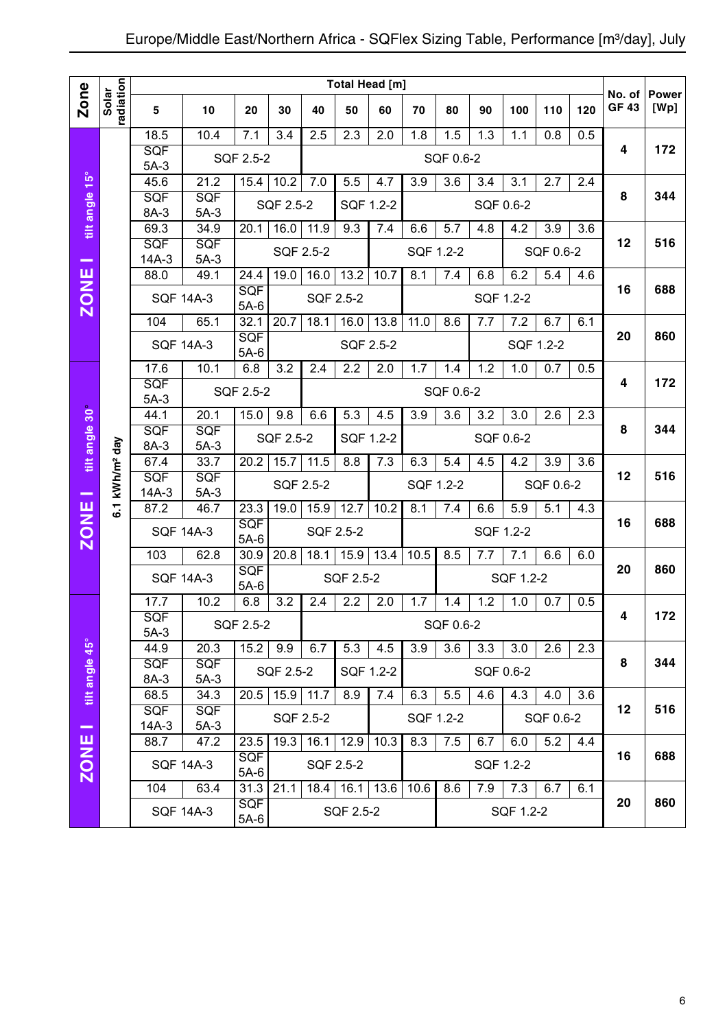|                |                            |                            |                      |                      |           |           | Total Head [m] |           |                  |           |     |           |                  |                  | No. of      | <b>Power</b> |
|----------------|----------------------------|----------------------------|----------------------|----------------------|-----------|-----------|----------------|-----------|------------------|-----------|-----|-----------|------------------|------------------|-------------|--------------|
| Zone           | radiation<br>Solar         | 5                          | 10                   | 20                   | 30        | 40        | 50             | 60        | 70               | 80        | 90  | 100       | 110              | 120              | <b>GF43</b> | [Wp]         |
|                |                            | 18.5                       | 10.4                 | 7.1                  | 3.4       | 2.5       | 2.3            | 2.0       | 1.8              | 1.5       | 1.3 | 1.1       | 0.8              | 0.5              |             |              |
|                |                            | <b>SQF</b><br>$5A-3$       |                      | SQF 2.5-2            |           |           |                |           |                  | SQF 0.6-2 |     |           |                  |                  | 4           | 172          |
|                |                            | 45.6                       | 21.2                 | 15.4                 | 10.2      | 7.0       | 5.5            | 4.7       | 3.9              | 3.6       | 3.4 | 3.1       | 2.7              | 2.4              |             |              |
| tilt angle 15° |                            | SQF                        | SQF                  |                      | SQF 2.5-2 |           | SQF 1.2-2      |           |                  |           |     | SQF 0.6-2 |                  |                  | 8           | 344          |
|                |                            | 8A-3<br>69.3               | $5A-3$<br>34.9       | 20.1                 | 16.0      | 11.9      | 9.3            | 7.4       | 6.6              | 5.7       | 4.8 | 4.2       | 3.9              | 3.6              |             |              |
|                |                            | <b>SQF</b>                 | <b>SQF</b>           |                      |           |           |                |           |                  |           |     |           |                  |                  | 12          | 516          |
| -              |                            | $14A-3$                    | $5A-3$               |                      | SQF 2.5-2 |           |                |           |                  | SQF 1.2-2 |     |           | SQF 0.6-2        |                  |             |              |
|                |                            | 88.0                       | 49.1                 | 24.4                 | 19.0      | 16.0      | 13.2           | 10.7      | 8.1              | 7.4       | 6.8 | 6.2       | 5.4              | 4.6              |             |              |
| <b>ZONE</b>    |                            |                            | <b>SQF 14A-3</b>     | <b>SQF</b><br>$5A-6$ |           | SQF 2.5-2 |                |           |                  |           |     | SQF 1.2-2 |                  |                  | 16          | 688          |
|                |                            | 104                        | 65.1                 | 32.1                 | 20.7      | 18.1      | 16.0           | 13.8      | 11.0             | 8.6       | 7.7 | 7.2       | $6.\overline{7}$ | 6.1              | 20          | 860          |
|                |                            |                            | <b>SQF 14A-3</b>     | SQF<br>$5A-6$        |           |           |                | SQF 2.5-2 |                  |           |     |           | SQF 1.2-2        |                  |             |              |
|                |                            | 17.6                       | 10.1                 | 6.8                  | 3.2       | 2.4       | 2.2            | 2.0       | 1.7              | 1.4       | 1.2 | 1.0       | 0.7              | 0.5              |             |              |
|                |                            | <b>SQF</b>                 |                      | SQF 2.5-2            |           |           |                |           |                  | SQF 0.6-2 |     |           |                  |                  | 4           | 172          |
|                |                            | $5A-3$<br>44.1             | 20.1                 | 15.0                 | 9.8       | 6.6       | 5.3            | 4.5       | $\overline{3.9}$ | 3.6       | 3.2 | 3.0       | 2.6              | 2.3              |             |              |
| tilt angle 30° |                            | SQF                        | <b>SQF</b>           |                      |           |           |                |           |                  |           |     |           |                  |                  | 8           | 344          |
|                |                            | 8A-3                       | $5A-3$               |                      | SQF 2.5-2 |           | SQF 1.2-2      |           |                  |           |     | SQF 0.6-2 |                  |                  |             |              |
|                |                            | 67.4<br>33.7<br>SQF<br>SQF |                      | 20.2                 | 15.7      | 11.5      | 8.8            | 7.3       | 6.3              | 5.4       | 4.5 | 4.2       | $\overline{3.9}$ | $\overline{3.6}$ | 12          | 516          |
| -              | 6.1 kWh/m <sup>2</sup> day | $14A-3$                    | $5A-3$               |                      | SQF 2.5-2 |           |                |           |                  | SQF 1.2-2 |     |           | SQF 0.6-2        |                  |             |              |
|                |                            | 87.2                       | 46.7                 | 23.3                 | 19.0      | 15.9      | 12.7           | 10.2      | 8.1              | 7.4       | 6.6 | 5.9       | 5.1              | 4.3              |             |              |
| <b>ZONE</b>    |                            |                            | <b>SQF 14A-3</b>     | <b>SQF</b><br>$5A-6$ |           | SQF 2.5-2 |                |           |                  |           |     | SQF 1.2-2 |                  |                  | 16          | 688          |
|                |                            | 103                        | 62.8                 | 30.9                 | 20.8      | 18.1      | 15.9           | 13.4      | 10.5             | 8.5       | 7.7 | 7.1       | 6.6              | 6.0              |             |              |
|                |                            |                            | <b>SQF 14A-3</b>     | <b>SQF</b><br>$5A-6$ |           |           | SQF 2.5-2      |           |                  |           |     | SQF 1.2-2 |                  |                  | 20          | 860          |
|                |                            | 17.7                       | 10.2                 | 6.8                  | 3.2       | 2.4       | 2.2            | 2.0       | 1.7              | 1.4       | 1.2 | 1.0       | 0.7              | 0.5              |             |              |
|                |                            | SQF<br>$5A-3$              |                      | SQF 2.5-2            |           |           |                |           |                  | SQF 0.6-2 |     |           |                  |                  | 4           | 172          |
|                |                            | 44.9                       | 20.3                 | 15.2                 | 9.9       | 6.7       | 5.3            | 4.5       | 3.9              | 3.6       | 3.3 | 3.0       | 2.6              | 2.3              |             |              |
| tilt angle 45° |                            | <b>SQF</b><br>8A-3         | <b>SQF</b><br>$5A-3$ |                      | SQF 2.5-2 |           | SQF 1.2-2      |           |                  |           |     | SQF 0.6-2 |                  |                  | 8           | 344          |
|                |                            | 68.5                       | 34.3                 | 20.5                 | 15.9      | 11.7      | 8.9            | 7.4       | 6.3              | 5.5       | 4.6 | 4.3       | 4.0              | 3.6              |             |              |
| --             |                            | <b>SQF</b><br>$14A-3$      | <b>SQF</b><br>$5A-3$ |                      | SQF 2.5-2 |           |                |           |                  | SQF 1.2-2 |     |           | SQF 0.6-2        |                  | 12          | 516          |
|                |                            | 88.7                       | 47.2                 | 23.5                 | 19.3      | 16.1      | 12.9           | 10.3      | 8.3              | 7.5       | 6.7 | 6.0       | 5.2              | 4.4              |             |              |
| <b>ZONE</b>    |                            |                            | <b>SQF 14A-3</b>     | <b>SQF</b><br>$5A-6$ |           |           | SQF 2.5-2      |           |                  |           |     | SQF 1.2-2 |                  |                  | 16          | 688          |
|                |                            | 104                        | 63.4                 | 31.3                 | 21.1      |           | $18.4$   16.1  | 13.6      | 10.6             | 8.6       | 7.9 | 7.3       | 6.7              | 6.1              |             |              |
|                |                            |                            | <b>SQF 14A-3</b>     | <b>SQF</b><br>5A-6   |           |           | SQF 2.5-2      |           |                  |           |     | SQF 1.2-2 |                  |                  | 20          | 860          |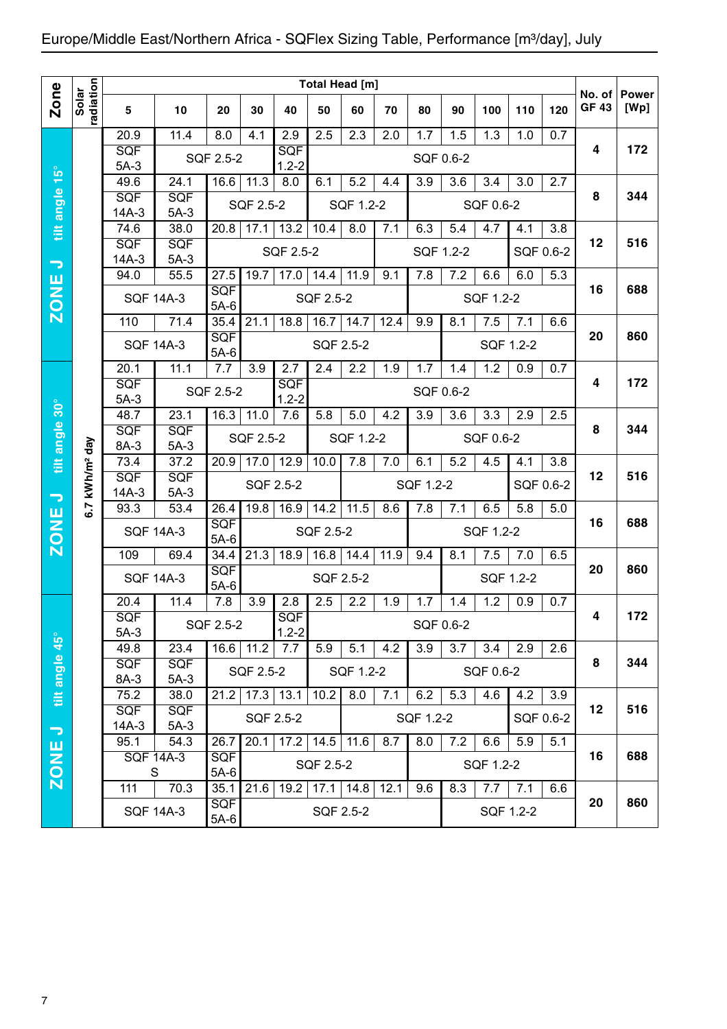## Europe/Middle East/Northern Africa - SQFlex Sizing Table, Performance [m<sup>3</sup>/day], July

|                          |                        |                    |                          |                    |               |                  | Total Head [m]       |                  |      |           |           |           |           |           |              |              |
|--------------------------|------------------------|--------------------|--------------------------|--------------------|---------------|------------------|----------------------|------------------|------|-----------|-----------|-----------|-----------|-----------|--------------|--------------|
| <b>Zone</b>              | Solar                  |                    |                          |                    |               |                  |                      |                  |      |           |           |           |           |           | No. of       | <b>Power</b> |
|                          | radiation              | 5                  | 10                       | 20                 | 30            | 40               | 50                   | 60               | 70   | 80        | 90        | 100       | 110       | 120       | <b>GF 43</b> | [Wp]         |
|                          |                        | 20.9               | 11.4                     | 8.0                | 4.1           | 2.9              | 2.5                  | 2.3              | 2.0  | 1.7       | 1.5       | 1.3       | 1.0       | 0.7       |              |              |
|                          |                        | SQF                |                          | SQF 2.5-2          |               | <b>SQF</b>       |                      |                  |      |           | SQF 0.6-2 |           |           |           | 4            | 172          |
| tilt angle 15°           |                        | $5A-3$<br>49.6     | 24.1                     | $16.\overline{6}$  | 11.3          | $1.2 - 2$<br>8.0 | $6.\overline{1}$     | 5.2              | 4.4  | 3.9       | 3.6       | 3.4       | 3.0       | 2.7       |              |              |
|                          |                        | SQF                | <b>SQF</b>               |                    | SQF 2.5-2     |                  |                      |                  |      |           |           |           |           |           | 8            | 344          |
|                          |                        | $14A-3$            | $5A-3$                   |                    |               |                  |                      | SQF 1.2-2        |      |           |           | SQF 0.6-2 |           |           |              |              |
|                          |                        | 74.6               | 38.0                     | 20.8               | 17.1          | 13.2             | 10.4                 | 8.0              | 7.1  | 6.3       | 5.4       | 4.7       | 4.1       | 3.8       |              |              |
|                          |                        | SQF<br>$14A-3$     | SQF<br>$5A-3$            |                    |               | SQF 2.5-2        |                      |                  |      |           | SQF 1.2-2 |           |           | SQF 0.6-2 | 12           | 516          |
| $\overline{\phantom{m}}$ |                        | 94.0               | 55.5                     | 27.5               | 19.7          | 17.0             | 14.4                 | 11.9             | 9.1  | 7.8       | 7.2       | 6.6       | 6.0       | 5.3       |              |              |
|                          |                        | <b>SQF 14A-3</b>   |                          | SQF                |               |                  | SQF 2.5-2            |                  |      |           |           | SQF 1.2-2 |           |           | 16           | 688          |
| ZONE                     |                        |                    |                          | $5A-6$             |               |                  |                      |                  |      |           |           |           |           |           |              |              |
|                          |                        | 110                | 71.4                     | 35.4               | 21.1          | 18.8             | 16.7                 | 14.7             | 12.4 | 9.9       | 8.1       | 7.5       | 7.1       | 6.6       | 20           | 860          |
|                          |                        | <b>SQF 14A-3</b>   |                          | SQF<br>$5A-6$      |               |                  | SQF 2.5-2            |                  |      |           |           |           | SQF 1.2-2 |           |              |              |
|                          |                        | 20.1               | 11.1                     | 7.7                | 3.9           | 2.7              | 2.4                  | 2.2              | 1.9  | 1.7       | 1.4       | 1.2       | 0.9       | 0.7       |              |              |
|                          |                        | SQF                |                          | SQF 2.5-2          |               | SQF              |                      |                  |      |           | SQF 0.6-2 |           |           |           | 4            | 172          |
|                          |                        | $5A-3$             |                          |                    |               | $1.2 - 2$        |                      |                  |      |           |           |           |           |           |              |              |
|                          |                        | 48.7<br>SQF        | 23.1<br>SQF              | 16.3               | 11.0          | 7.6              | 5.8                  | 5.0              | 4.2  | 3.9       | 3.6       | 3.3       | 2.9       | 2.5       | 8            | 344          |
|                          |                        | 8A-3               | $5A-3$                   |                    | SQF 2.5-2     |                  |                      | SQF 1.2-2        |      |           |           | SQF 0.6-2 |           |           |              |              |
| tilt angle 30°           | kWh/m <sup>2</sup> day | 73.4               | $\overline{37.2}$        | 20.9               | 17.0          | 12.9             | 10.0                 | 7.8              | 7.0  | 6.1       | 5.2       | 4.5       | 4.1       | 3.8       |              |              |
|                          |                        | SQF                | SQF                      |                    |               | SQF 2.5-2        |                      |                  |      | SQF 1.2-2 |           |           |           | SQF 0.6-2 | 12           | 516          |
| $\overline{\phantom{a}}$ | 6.7                    | $14A-3$<br>93.3    | $5A-3$<br>53.4           | 26.4               | 19.8          | 16.9             | 14.2                 | 11.5             | 8.6  | 7.8       | 7.1       | 6.5       | 5.8       | 5.0       |              |              |
| ZONE                     |                        |                    |                          | SQF                |               |                  |                      |                  |      |           |           |           |           |           | 16           | 688          |
|                          |                        | <b>SQF 14A-3</b>   |                          | $5A-6$             |               |                  | SQF 2.5-2            |                  |      |           |           | SQF 1.2-2 |           |           |              |              |
|                          |                        | 109                | 69.4                     | 34.4               | 21.3          | 18.9             | 16.8                 | 14.4             | 11.9 | 9.4       | 8.1       | 7.5       | 7.0       | 6.5       |              |              |
|                          |                        | <b>SQF 14A-3</b>   |                          | SQF<br>$5A-6$      |               |                  | SQF 2.5-2            |                  |      |           |           |           | SQF 1.2-2 |           | 20           | 860          |
|                          |                        | 20.4               | 11.4                     | 7.8                | 3.9           | 2.8              | 2.5                  | 2.2              | 1.9  | 1.7       | 1.4       | 1.2       | 0.9       | 0.7       |              |              |
|                          |                        | SQF                |                          | SQF 2.5-2          |               | SQF              |                      |                  |      |           | SQF 0.6-2 |           |           |           | 4            | 172          |
|                          |                        | $5A-3$             |                          |                    |               | $1.2 - 2$        |                      |                  |      |           |           |           |           |           |              |              |
|                          |                        | 49.8               | 23.4                     |                    | $16.6$   11.2 | 7.7              | 5.9                  | 5.1              | 4.2  | 3.9       | 3.7       | 3.4       | 2.9       | 2.6       | 8            | 344          |
|                          |                        | <b>SQF</b><br>8A-3 | <b>SQF</b><br>$5A-3$     |                    | SQF 2.5-2     |                  |                      | SQF 1.2-2        |      |           |           | SQF 0.6-2 |           |           |              |              |
| tilt angle 45°           |                        | 75.2               | 38.0                     | 21.2               |               | $17.3$ 13.1      | 10.2                 | $\overline{8.0}$ | 7.1  | 6.2       | 5.3       | 4.6       | 4.2       | 3.9       |              |              |
|                          |                        | <b>SQF</b>         | <b>SQF</b>               |                    |               | SQF 2.5-2        |                      |                  |      | SQF 1.2-2 |           |           |           | SQF 0.6-2 | 12           | 516          |
| $\overline{\phantom{m}}$ |                        | 14A-3              | $5A-3$                   |                    |               |                  |                      |                  |      |           |           |           |           |           |              |              |
|                          |                        | 95.1               | 54.3<br><b>SQF 14A-3</b> | 26.7<br><b>SQF</b> | 20.1          |                  | $17.2$   14.5        | 11.6             | 8.7  | 8.0       | 7.2       | 6.6       | 5.9       | 5.1       | 16           | 688          |
| <b>ZONE</b>              |                        | S                  |                          | $5A-6$             |               |                  | SQF 2.5-2            |                  |      |           |           | SQF 1.2-2 |           |           |              |              |
|                          |                        | 111                | 70.3                     |                    | $35.1$ 21.6   |                  | $19.2$   17.1   14.8 |                  | 12.1 | 9.6       | 8.3       | 7.7       | 7.1       | 6.6       |              |              |
|                          |                        |                    | <b>SQF 14A-3</b>         | <b>SQF</b>         |               |                  |                      | SQF 2.5-2        |      |           |           |           | SQF 1.2-2 |           | 20           | 860          |
|                          |                        |                    |                          | $5A-6$             |               |                  |                      |                  |      |           |           |           |           |           |              |              |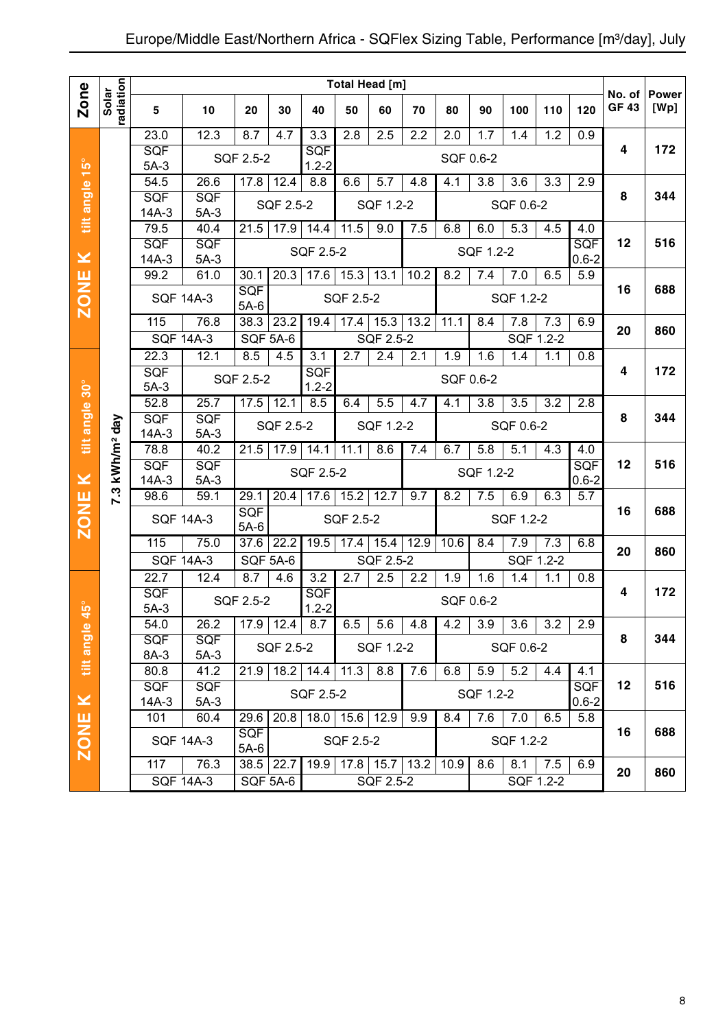|                |                            |                      |                      |                      |                 |                                |                    | Total Head [m] |      |           |           |           |           |            |                        | <b>Power</b> |
|----------------|----------------------------|----------------------|----------------------|----------------------|-----------------|--------------------------------|--------------------|----------------|------|-----------|-----------|-----------|-----------|------------|------------------------|--------------|
| Zone           | radiation<br>Solar         | 5                    | 10                   | 20                   | 30              | 40                             | 50                 | 60             | 70   | 80        | 90        | 100       | 110       | 120        | No. of<br><b>GF 43</b> | [Wp]         |
|                |                            | 23.0                 | 12.3                 | 8.7                  | 4.7             | 3.3                            | 2.8                | 2.5            | 2.2  | 2.0       | 1.7       | 1.4       | 1.2       | 0.9        |                        |              |
|                |                            | <b>SQF</b><br>$5A-3$ |                      | SQF 2.5-2            |                 | <b>SQF</b><br>$1.2 - 2$        |                    |                |      |           | SQF 0.6-2 |           |           |            | 4                      | 172          |
| $15^{\circ}$   |                            | 54.5                 | 26.6                 | 17.8                 | 12.4            | 8.8                            | 6.6                | 5.7            | 4.8  | 4.1       | 3.8       | 3.6       | 3.3       | 2.9        |                        |              |
| tilt angle     |                            | <b>SQF</b>           | SQF                  |                      | SQF 2.5-2       |                                |                    | SQF 1.2-2      |      |           |           | SQF 0.6-2 |           |            | 8                      | 344          |
|                |                            | $14A-3$              | $5A-3$               |                      |                 |                                |                    |                |      |           |           |           |           |            |                        |              |
|                |                            | 79.5<br>SQF          | 40.4<br>SQF          | 21.5                 | 17.9            | 14.4                           | 11.5               | 9.0            | 7.5  | 6.8       | 6.0       | 5.3       | 4.5       | 4.0<br>SQF | 12                     | 516          |
| $\geq$         |                            | $14A-3$              | $5A-3$               |                      |                 | SQF 2.5-2                      |                    |                |      |           | SQF 1.2-2 |           |           | $0.6 - 2$  |                        |              |
|                |                            | 99.2                 | 61.0                 | 30.1                 | 20.3            | 17.6                           | 15.3               | 13.1           | 10.2 | 8.2       | 7.4       | 7.0       | 6.5       | 5.9        |                        |              |
| <b>ZONE</b>    |                            |                      | <b>SQF 14A-3</b>     | <b>SQF</b><br>$5A-6$ |                 |                                | SQF 2.5-2          |                |      |           |           | SQF 1.2-2 |           |            | 16                     | 688          |
|                |                            | 115                  | 76.8                 | 38.3                 | 23.2            | 19.4                           | 17.4               | 15.3           | 13.2 | 11.1      | 8.4       | 7.8       | 7.3       | 6.9        | 20                     | 860          |
|                |                            |                      | <b>SQF 14A-3</b>     | SQF 5A-6             |                 |                                |                    | SQF 2.5-2      |      |           |           |           | SQF 1.2-2 |            |                        |              |
|                |                            | 22.3                 | 12.1                 | 8.5                  | 4.5             | 3.1                            | 2.7                | 2.4            | 2.1  | 1.9       | 1.6       | 1.4       | 1.1       | 0.8        | 4                      | 172          |
| $30^\circ$     |                            | SQF<br>$5A-3$        |                      | SQF 2.5-2            |                 | <b>SQF</b><br>$1.2 - 2$        |                    |                |      | SQF 0.6-2 |           |           |           |            |                        |              |
|                |                            | 52.8                 | 25.7                 | 17.5                 | 12.1            | 8.5                            | 6.4                | 5.5            | 4.7  | 4.1       | 3.8       | 3.5       | 3.2       | 2.8        |                        |              |
| tilt angle     |                            | SQF                  | <b>SQF</b>           |                      | SQF 2.5-2       |                                |                    | SQF 1.2-2      |      |           |           | SQF 0.6-2 |           |            | 8                      | 344          |
|                | 7.3 kWh/m <sup>2</sup> day | $14A-3$<br>78.8      | $5A-3$<br>40.2       | 21.5                 | 17.9            | 14.1                           | 11.1               | 8.6            | 7.4  | 6.7       | 5.8       | 5.1       | 4.3       | 4.0        |                        |              |
|                |                            | <b>SQF</b>           | SQF                  |                      |                 |                                |                    |                |      |           |           |           |           | <b>SQF</b> | 12                     | 516          |
| $\geq$         |                            | $14A-3$              | $5A-3$               |                      |                 | SQF 2.5-2                      |                    |                |      |           | SQF 1.2-2 |           |           | $0.6 - 2$  |                        |              |
|                |                            | 98.6                 | 59.1                 | 29.1                 | 20.4            | 17.6                           | 15.2               | 12.7           | 9.7  | 8.2       | 7.5       | 6.9       | 6.3       | 5.7        | 16                     | 688          |
| <b>ZONE</b>    |                            |                      | <b>SQF 14A-3</b>     | <b>SQF</b><br>$5A-6$ |                 |                                | SQF 2.5-2          |                |      |           |           | SQF 1.2-2 |           |            |                        |              |
|                |                            | 115                  | 75.0                 | 37.6                 | 22.2            | 19.5                           | 17.4               | 15.4           | 12.9 | 10.6      | 8.4       | 7.9       | 7.3       | 6.8        | 20                     | 860          |
|                |                            |                      | <b>SQF 14A-3</b>     | <b>SQF 5A-6</b>      |                 |                                |                    | SQF 2.5-2      |      |           |           |           | SQF 1.2-2 |            |                        |              |
|                |                            | 22.7<br>SQF          | 12.4                 | 8.7                  | 4.6             | $\overline{3.2}$<br><b>SQF</b> | 2.7                | 2.5            | 2.2  | 1.9       | 1.6       | 1.4       | 1.1       | 0.8        | 4                      | 172          |
| $45^{\circ}$   |                            | $5A-3$               |                      | SQF 2.5-2            |                 | $1.2 - 2$                      |                    |                |      |           | SQF 0.6-2 |           |           |            |                        |              |
|                |                            | 54.0                 | 26.2                 |                      | $17.9$ 12.4     | 8.7                            | 6.5                | 5.6            | 4.8  | 4.2       | 3.9       | 3.6       | 3.2       | 2.9        |                        |              |
| tilt angle     |                            | <b>SQF</b><br>8A-3   | <b>SQF</b><br>$5A-3$ |                      | SQF 2.5-2       |                                |                    | SQF 1.2-2      |      |           |           | SQF 0.6-2 |           |            | 8                      | 344          |
|                |                            | 80.8                 | 41.2                 | 21.9                 | 18.2            | 14.4                           | 11.3               | 8.8            | 7.6  | 6.8       | 5.9       | 5.2       | 4.4       | 4.1        |                        |              |
|                |                            | <b>SQF</b>           | <b>SQF</b>           |                      |                 | SQF 2.5-2                      |                    |                |      |           | SQF 1.2-2 |           |           | <b>SQF</b> | 12                     | 516          |
| $\pmb{\times}$ |                            | $14A-3$              | $5A-3$               |                      |                 |                                |                    |                |      |           |           |           |           | $0.6 - 2$  |                        |              |
|                |                            | 101                  | 60.4                 | 29.6<br><b>SQF</b>   | 20.8            |                                | 18.0   15.6   12.9 |                | 9.9  | 8.4       | 7.6       | 7.0       | 6.5       | 5.8        | 16                     | 688          |
| <b>ZONE</b>    |                            |                      | <b>SQF 14A-3</b>     | $5A-6$               |                 |                                | SQF 2.5-2          |                |      |           |           | SQF 1.2-2 |           |            |                        |              |
|                |                            | $11\overline{7}$     | 76.3                 |                      | $38.5$ 22.7     | 19.9                           | $17.8$ 15.7        |                | 13.2 | 10.9      | 8.6       | 8.1       | 7.5       | 6.9        | 20                     | 860          |
|                |                            |                      | <b>SQF 14A-3</b>     |                      | <b>SQF 5A-6</b> |                                |                    | SQF 2.5-2      |      |           |           |           | SQF 1.2-2 |            |                        |              |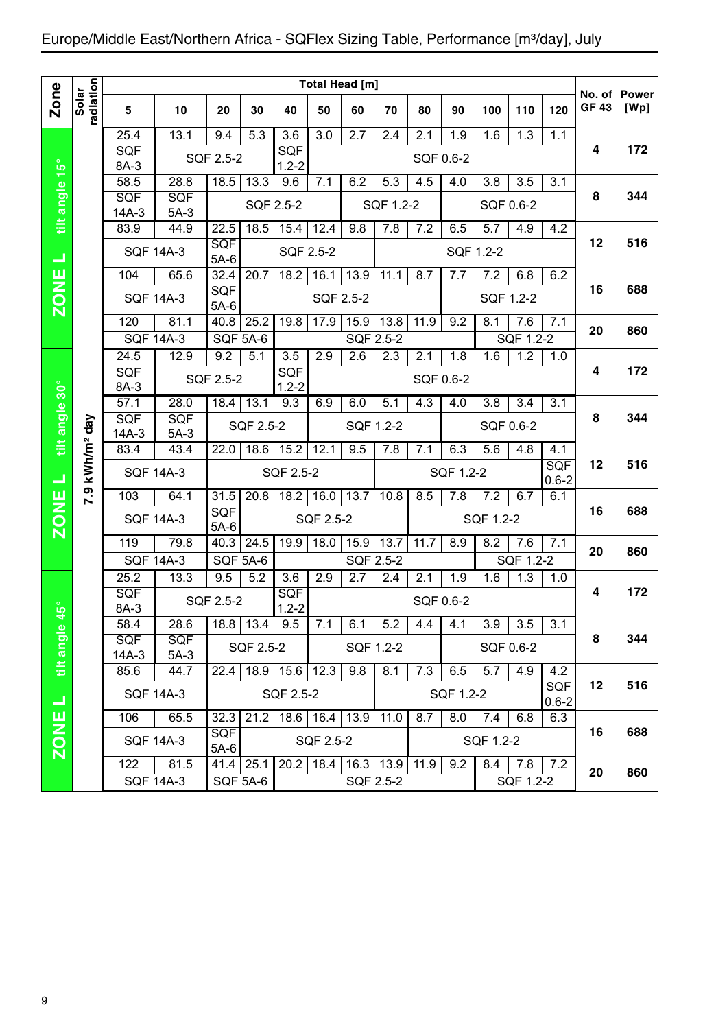## Europe/Middle East/Northern Africa - SQFlex Sizing Table, Performance [m3/day], July

|                          |                        |                          |                          |                        |                 |                         |               | <b>Total Head [m]</b>                |           |           |           |           |                  |                         |                       |                      |
|--------------------------|------------------------|--------------------------|--------------------------|------------------------|-----------------|-------------------------|---------------|--------------------------------------|-----------|-----------|-----------|-----------|------------------|-------------------------|-----------------------|----------------------|
| <b>Zone</b>              | radiation<br>Solar     | 5                        | 10                       | 20                     | 30              | 40                      | 50            | 60                                   | 70        | 80        | 90        | 100       | 110              | 120                     | No. of<br><b>GF43</b> | <b>Power</b><br>[Wp] |
|                          |                        | 25.4                     | 13.1                     | 9.4                    | 5.3             | 3.6                     | 3.0           | 2.7                                  | 2.4       | 2.1       | 1.9       | 1.6       | 1.3              | 1.1                     |                       |                      |
|                          |                        | SQF<br>8A-3              |                          | SQF 2.5-2              |                 | <b>SQF</b><br>$1.2 - 2$ |               |                                      |           | SQF 0.6-2 |           |           |                  |                         | 4                     | 172                  |
| tilt angle 15°           |                        | 58.5                     | 28.8                     | 18.5                   | 13.3            | 9.6                     | 7.1           | 6.2                                  | 5.3       | 4.5       | 4.0       | 3.8       | 3.5              | 3.1                     |                       |                      |
|                          |                        | SQF                      | <b>SQF</b>               |                        |                 | SQF 2.5-2               |               |                                      | SQF 1.2-2 |           |           |           | SQF 0.6-2        |                         | 8                     | 344                  |
|                          |                        | $14A-3$<br>83.9          | $5A-3$<br>44.9           | 22.5                   | 18.5            | 15.4                    | 12.4          | 9.8                                  | 7.8       | 7.2       | 6.5       | 5.7       | 4.9              | 4.2                     |                       |                      |
| コ                        |                        | <b>SQF 14A-3</b>         |                          | SQF<br>$5A-6$          |                 | <b>SQF 2.5-2</b>        |               |                                      |           |           |           | SQF 1.2-2 |                  |                         | 12                    | 516                  |
|                          |                        | 104                      | 65.6                     | 32.4                   | 20.7            | 18.2                    | 16.1          | 13.9                                 | 11.1      | 8.7       | 7.7       | 7.2       | 6.8              | 6.2                     |                       |                      |
| <b>ZONE</b>              |                        | <b>SQF 14A-3</b>         |                          | SQF<br>$5A-6$          |                 |                         | SQF 2.5-2     |                                      |           |           |           |           | SQF 1.2-2        |                         | 16                    | 688                  |
|                          |                        | 120                      | 81.1                     | 40.8                   | 25.2            | 19.8                    | 17.9          | 15.9                                 | 13.8      | 11.9      | 9.2       | 8.1       | 7.6              | 7.1                     | 20                    | 860                  |
|                          |                        | <b>SQF 14A-3</b>         |                          | <b>SQF 5A-6</b>        |                 |                         |               | SQF 2.5-2                            |           |           |           |           | SQF 1.2-2        |                         |                       |                      |
|                          |                        | 24.5<br>SQF              | 12.9                     | 9.2                    | 5.1             | 3.5<br>SQF              | 2.9           | 2.6                                  | 2.3       | 2.1       | 1.8       | 1.6       | 1.2              | 1.0                     | 4                     | 172                  |
|                          |                        | 8A-3                     |                          | SQF 2.5-2              |                 | $1.2 - 2$               |               |                                      |           |           | SQF 0.6-2 |           |                  |                         |                       |                      |
|                          |                        | 57.1                     | 28.0                     | 18.4                   | 13.1            | 9.3                     | 6.9           | 6.0                                  | 5.1       | 4.3       | 4.0       | 3.8       | 3.4              | 3.1                     |                       |                      |
| tilt angle 30°           | kWh/m <sup>2</sup> day | SQF<br>$14A-3$           | <b>SQF</b><br>$5A-3$     |                        | SQF 2.5-2       |                         |               | SQF 1.2-2                            |           |           |           |           | SQF 0.6-2        |                         | 8                     | 344                  |
|                          |                        | 83.4                     | 43.4                     | 22.0                   | 18.6            | 15.2                    | 12.1          | 9.5                                  | 7.8       | 7.1       | 6.3       | 5.6       | 4.8              | 4.1                     |                       |                      |
| ш                        |                        | <b>SQF 14A-3</b>         |                          |                        |                 | SQF 2.5-2               |               |                                      |           |           | SQF 1.2-2 |           |                  | <b>SQF</b><br>$0.6 - 2$ | 12                    | 516                  |
|                          | 7.9                    | 103                      | 64.1                     | 31.5                   | 20.8            | 18.2                    | 16.0          | 13.7                                 | 10.8      | 8.5       | 7.8       | 7.2       | 6.7              | 6.1                     | 16                    | 688                  |
| <b>ZONE</b>              |                        | <b>SQF 14A-3</b>         |                          | SQF<br>$5A-6$          |                 |                         | SQF 2.5-2     |                                      |           |           |           | SQF 1.2-2 |                  |                         |                       |                      |
|                          |                        | 119                      | 79.8                     | 40.3                   | 24.5            | 19.9                    | 18.0          | 15.9                                 | 13.7      | 11.7      | 8.9       | 8.2       | 7.6              | 7.1                     | 20                    | 860                  |
|                          |                        | <b>SQF 14A-3</b><br>25.2 | 13.3                     | <b>SQF 5A-6</b><br>9.5 | 5.2             | 3.6                     | 2.9           | <b>SQF 2.5-2</b><br>$\overline{2.7}$ | 2.4       | 2.1       | 1.9       | 1.6       | SQF 1.2-2<br>1.3 | 1.0                     |                       |                      |
|                          |                        | <b>SQF</b>               |                          |                        |                 | SQF                     |               |                                      |           |           |           |           |                  |                         | 4                     | 172                  |
| $\frac{1}{2}$<br>≂       |                        | 8A-3                     |                          | SQF 2.5-2              |                 | $1.2 - 2$               |               |                                      |           |           | SQF 0.6-2 |           |                  |                         |                       |                      |
|                          |                        | 58.4<br>SQF              | 28.6<br><b>SQF</b>       | 18.8                   | 13.4            | 9.5                     | 7.1           | 6.1                                  | 5.2       | 4.4       | 4.1       | 3.9       | 3.5              | 3.1                     | 8                     | 344                  |
| tilt angle               |                        | $14A-3$                  | $5A-3$                   |                        | SQF 2.5-2       |                         |               | SQF 1.2-2                            |           |           |           |           | SQF 0.6-2        |                         |                       |                      |
|                          |                        | 85.6                     | 44.7                     | 22.4                   |                 | 18.9 15.6               | 12.3          | 9.8                                  | 8.1       | 7.3       | 6.5       | 5.7       | 4.9              | 4.2                     |                       |                      |
| $\overline{\phantom{0}}$ |                        |                          | <b>SQF 14A-3</b>         |                        |                 | SQF 2.5-2               |               |                                      |           |           | SQF 1.2-2 |           |                  | <b>SQF</b><br>$0.6 - 2$ | 12                    | 516                  |
|                          |                        | 106                      | 65.5                     | 32.3                   | 21.2            |                         | $18.6$ 16.4   | 13.9                                 | 11.0      | 8.7       | 8.0       | 7.4       | 6.8              | 6.3                     |                       |                      |
| ZONE                     |                        |                          | <b>SQF 14A-3</b>         | <b>SQF</b><br>$5A-6$   |                 |                         | SQF 2.5-2     |                                      |           |           |           | SQF 1.2-2 |                  |                         | 16                    | 688                  |
|                          |                        | 122                      | 81.5<br><b>SQF 14A-3</b> |                        | $41.4$ 25.1     |                         | $20.2$   18.4 | 16.3                                 | 13.9      | 11.9      | 9.2       | 8.4       | 7.8              | 7.2                     | 20                    | 860                  |
|                          |                        |                          |                          |                        | <b>SQF 5A-6</b> |                         |               |                                      | SQF 2.5-2 |           |           |           | SQF 1.2-2        |                         |                       |                      |